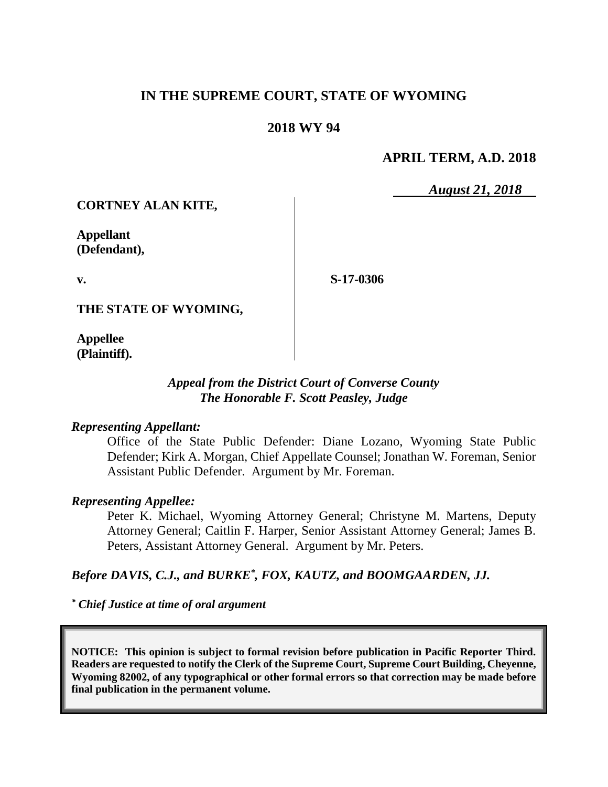# **IN THE SUPREME COURT, STATE OF WYOMING**

# **2018 WY 94**

## **APRIL TERM, A.D. 2018**

*August 21, 2018*

**CORTNEY ALAN KITE,**

**Appellant (Defendant),**

**v.**

**S-17-0306**

**THE STATE OF WYOMING,**

**Appellee (Plaintiff).**

### *Appeal from the District Court of Converse County The Honorable F. Scott Peasley, Judge*

#### *Representing Appellant:*

Office of the State Public Defender: Diane Lozano, Wyoming State Public Defender; Kirk A. Morgan, Chief Appellate Counsel; Jonathan W. Foreman, Senior Assistant Public Defender. Argument by Mr. Foreman.

#### *Representing Appellee:*

Peter K. Michael, Wyoming Attorney General; Christyne M. Martens, Deputy Attorney General; Caitlin F. Harper, Senior Assistant Attorney General; James B. Peters, Assistant Attorney General. Argument by Mr. Peters.

### *Before DAVIS, C.J., and BURKE\* , FOX, KAUTZ, and BOOMGAARDEN, JJ.*

*\* Chief Justice at time of oral argument*

**NOTICE: This opinion is subject to formal revision before publication in Pacific Reporter Third. Readers are requested to notify the Clerk of the Supreme Court, Supreme Court Building, Cheyenne, Wyoming 82002, of any typographical or other formal errors so that correction may be made before final publication in the permanent volume.**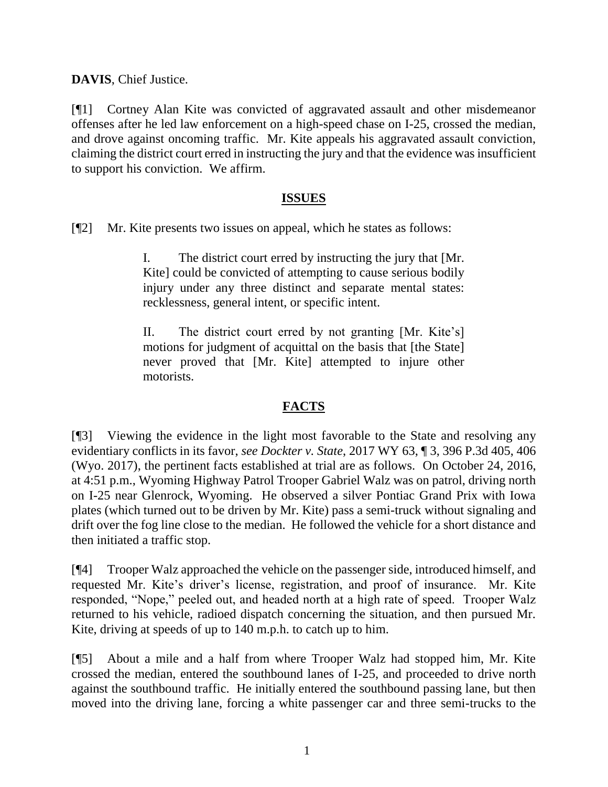**DAVIS**, Chief Justice.

[¶1] Cortney Alan Kite was convicted of aggravated assault and other misdemeanor offenses after he led law enforcement on a high-speed chase on I-25, crossed the median, and drove against oncoming traffic. Mr. Kite appeals his aggravated assault conviction, claiming the district court erred in instructing the jury and that the evidence was insufficient to support his conviction. We affirm.

#### **ISSUES**

[¶2] Mr. Kite presents two issues on appeal, which he states as follows:

I. The district court erred by instructing the jury that [Mr. Kite] could be convicted of attempting to cause serious bodily injury under any three distinct and separate mental states: recklessness, general intent, or specific intent.

II. The district court erred by not granting [Mr. Kite's] motions for judgment of acquittal on the basis that [the State] never proved that [Mr. Kite] attempted to injure other motorists.

## **FACTS**

[¶3] Viewing the evidence in the light most favorable to the State and resolving any evidentiary conflicts in its favor, *see Dockter v. State*, 2017 WY 63, ¶ 3, 396 P.3d 405, 406 (Wyo. 2017), the pertinent facts established at trial are as follows. On October 24, 2016, at 4:51 p.m., Wyoming Highway Patrol Trooper Gabriel Walz was on patrol, driving north on I-25 near Glenrock, Wyoming. He observed a silver Pontiac Grand Prix with Iowa plates (which turned out to be driven by Mr. Kite) pass a semi-truck without signaling and drift over the fog line close to the median. He followed the vehicle for a short distance and then initiated a traffic stop.

[¶4] Trooper Walz approached the vehicle on the passenger side, introduced himself, and requested Mr. Kite's driver's license, registration, and proof of insurance. Mr. Kite responded, "Nope," peeled out, and headed north at a high rate of speed. Trooper Walz returned to his vehicle, radioed dispatch concerning the situation, and then pursued Mr. Kite, driving at speeds of up to 140 m.p.h. to catch up to him.

[¶5] About a mile and a half from where Trooper Walz had stopped him, Mr. Kite crossed the median, entered the southbound lanes of I-25, and proceeded to drive north against the southbound traffic. He initially entered the southbound passing lane, but then moved into the driving lane, forcing a white passenger car and three semi-trucks to the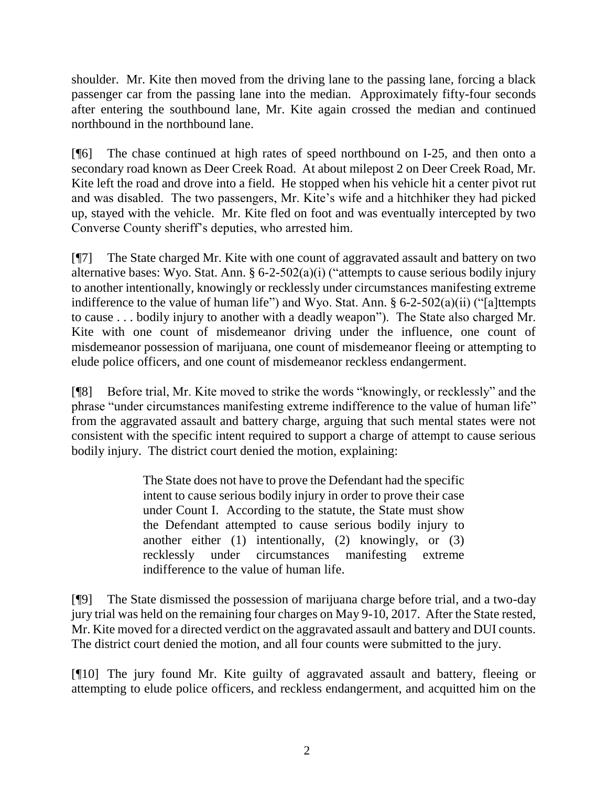shoulder. Mr. Kite then moved from the driving lane to the passing lane, forcing a black passenger car from the passing lane into the median. Approximately fifty-four seconds after entering the southbound lane, Mr. Kite again crossed the median and continued northbound in the northbound lane.

[¶6] The chase continued at high rates of speed northbound on I-25, and then onto a secondary road known as Deer Creek Road. At about milepost 2 on Deer Creek Road, Mr. Kite left the road and drove into a field. He stopped when his vehicle hit a center pivot rut and was disabled. The two passengers, Mr. Kite's wife and a hitchhiker they had picked up, stayed with the vehicle. Mr. Kite fled on foot and was eventually intercepted by two Converse County sheriff's deputies, who arrested him.

[¶7] The State charged Mr. Kite with one count of aggravated assault and battery on two alternative bases: Wyo. Stat. Ann. § 6-2-502(a)(i) ("attempts to cause serious bodily injury to another intentionally, knowingly or recklessly under circumstances manifesting extreme indifference to the value of human life") and Wyo. Stat. Ann.  $\S 6$ -2-502(a)(ii) ("[a]ttempts] to cause . . . bodily injury to another with a deadly weapon"). The State also charged Mr. Kite with one count of misdemeanor driving under the influence, one count of misdemeanor possession of marijuana, one count of misdemeanor fleeing or attempting to elude police officers, and one count of misdemeanor reckless endangerment.

[¶8] Before trial, Mr. Kite moved to strike the words "knowingly, or recklessly" and the phrase "under circumstances manifesting extreme indifference to the value of human life" from the aggravated assault and battery charge, arguing that such mental states were not consistent with the specific intent required to support a charge of attempt to cause serious bodily injury. The district court denied the motion, explaining:

> The State does not have to prove the Defendant had the specific intent to cause serious bodily injury in order to prove their case under Count I. According to the statute, the State must show the Defendant attempted to cause serious bodily injury to another either (1) intentionally, (2) knowingly, or (3) recklessly under circumstances manifesting extreme indifference to the value of human life.

[¶9] The State dismissed the possession of marijuana charge before trial, and a two-day jury trial was held on the remaining four charges on May 9-10, 2017. After the State rested, Mr. Kite moved for a directed verdict on the aggravated assault and battery and DUI counts. The district court denied the motion, and all four counts were submitted to the jury.

[¶10] The jury found Mr. Kite guilty of aggravated assault and battery, fleeing or attempting to elude police officers, and reckless endangerment, and acquitted him on the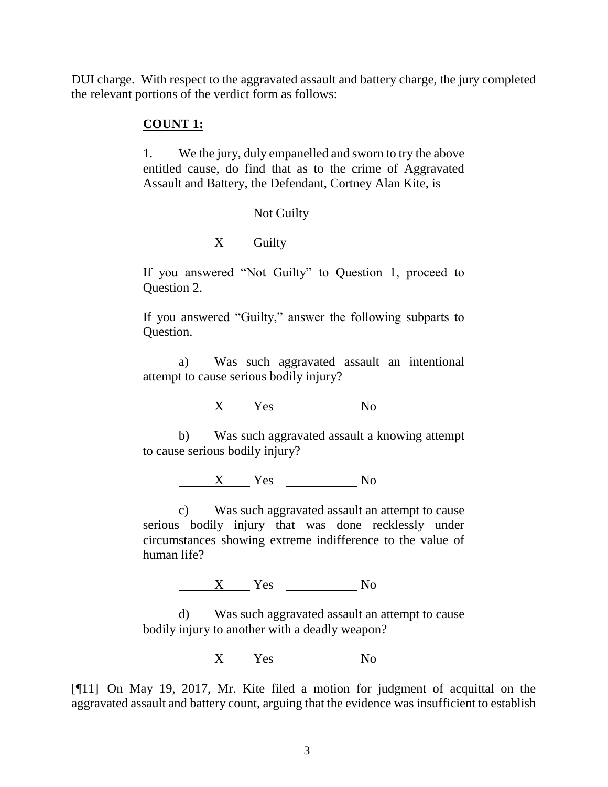DUI charge. With respect to the aggravated assault and battery charge, the jury completed the relevant portions of the verdict form as follows:

### **COUNT 1:**

1. We the jury, duly empanelled and sworn to try the above entitled cause, do find that as to the crime of Aggravated Assault and Battery, the Defendant, Cortney Alan Kite, is

Not Guilty

 $X$  Guilty

If you answered "Not Guilty" to Question 1, proceed to Question 2.

If you answered "Guilty," answer the following subparts to Question.

a) Was such aggravated assault an intentional attempt to cause serious bodily injury?

 $X$  Yes  $N_0$ 

b) Was such aggravated assault a knowing attempt to cause serious bodily injury?

X Yes No

c) Was such aggravated assault an attempt to cause serious bodily injury that was done recklessly under circumstances showing extreme indifference to the value of human life?

X Yes No

d) Was such aggravated assault an attempt to cause bodily injury to another with a deadly weapon?

 $X$  Yes No

[¶11] On May 19, 2017, Mr. Kite filed a motion for judgment of acquittal on the aggravated assault and battery count, arguing that the evidence was insufficient to establish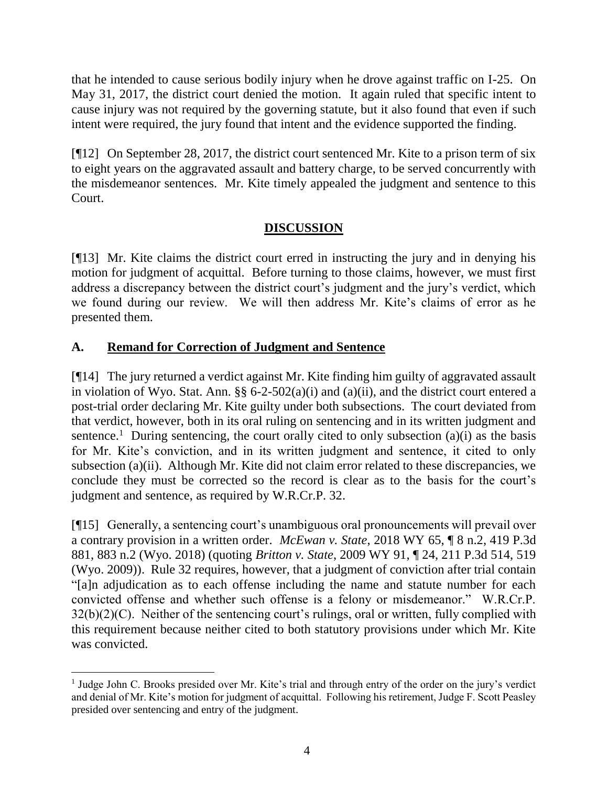that he intended to cause serious bodily injury when he drove against traffic on I-25. On May 31, 2017, the district court denied the motion. It again ruled that specific intent to cause injury was not required by the governing statute, but it also found that even if such intent were required, the jury found that intent and the evidence supported the finding.

[¶12] On September 28, 2017, the district court sentenced Mr. Kite to a prison term of six to eight years on the aggravated assault and battery charge, to be served concurrently with the misdemeanor sentences. Mr. Kite timely appealed the judgment and sentence to this Court.

# **DISCUSSION**

[¶13] Mr. Kite claims the district court erred in instructing the jury and in denying his motion for judgment of acquittal. Before turning to those claims, however, we must first address a discrepancy between the district court's judgment and the jury's verdict, which we found during our review. We will then address Mr. Kite's claims of error as he presented them.

# **A. Remand for Correction of Judgment and Sentence**

[¶14] The jury returned a verdict against Mr. Kite finding him guilty of aggravated assault in violation of Wyo. Stat. Ann. §§ 6-2-502(a)(i) and (a)(ii), and the district court entered a post-trial order declaring Mr. Kite guilty under both subsections. The court deviated from that verdict, however, both in its oral ruling on sentencing and in its written judgment and sentence.<sup>1</sup> During sentencing, the court orally cited to only subsection  $(a)(i)$  as the basis for Mr. Kite's conviction, and in its written judgment and sentence, it cited to only subsection (a)(ii). Although Mr. Kite did not claim error related to these discrepancies, we conclude they must be corrected so the record is clear as to the basis for the court's judgment and sentence, as required by W.R.Cr.P. 32.

[¶15] Generally, a sentencing court's unambiguous oral pronouncements will prevail over a contrary provision in a written order. *McEwan v. State*, 2018 WY 65, ¶ 8 n.2, 419 P.3d 881, 883 n.2 (Wyo. 2018) (quoting *Britton v. State*[, 2009 WY 91, ¶ 24, 211 P.3d 514, 519](http://www.westlaw.com/Link/Document/FullText?findType=Y&serNum=2019381641&pubNum=0004645&originatingDoc=Ic1668d90702311e88be5ff0f408d813f&refType=RP&fi=co_pp_sp_4645_519&originationContext=document&vr=3.0&rs=cblt1.0&transitionType=DocumentItem&contextData=(sc.Keycite)#co_pp_sp_4645_519)  [\(Wyo. 2009\)\)](http://www.westlaw.com/Link/Document/FullText?findType=Y&serNum=2019381641&pubNum=0004645&originatingDoc=Ic1668d90702311e88be5ff0f408d813f&refType=RP&fi=co_pp_sp_4645_519&originationContext=document&vr=3.0&rs=cblt1.0&transitionType=DocumentItem&contextData=(sc.Keycite)#co_pp_sp_4645_519). Rule 32 requires, however, that a judgment of conviction after trial contain "[a]n adjudication as to each offense including the name and statute number for each convicted offense and whether such offense is a felony or misdemeanor." W.R.Cr.P.  $32(b)(2)(C)$ . Neither of the sentencing court's rulings, oral or written, fully complied with this requirement because neither cited to both statutory provisions under which Mr. Kite was convicted.

 <sup>1</sup> Judge John C. Brooks presided over Mr. Kite's trial and through entry of the order on the jury's verdict and denial of Mr. Kite's motion for judgment of acquittal. Following his retirement, Judge F. Scott Peasley presided over sentencing and entry of the judgment.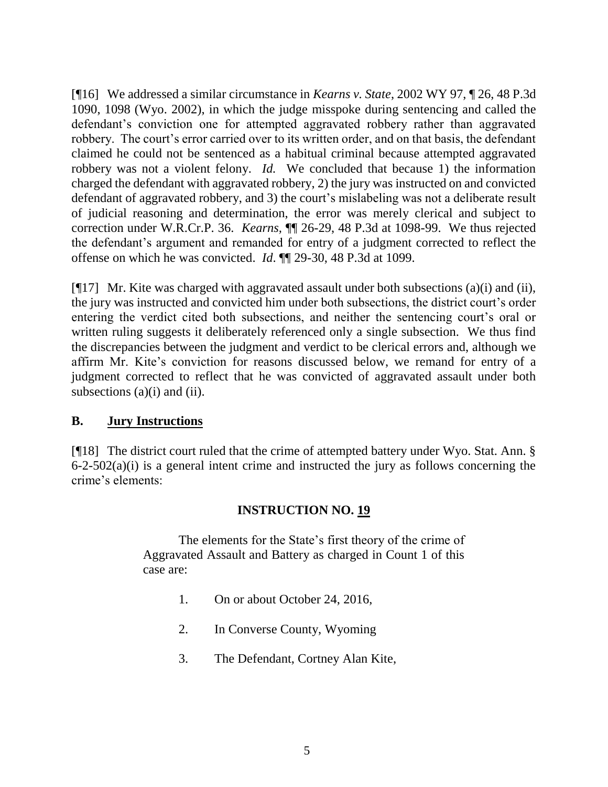[¶16] We addressed a similar circumstance in *Kearns v. State*, 2002 WY 97, ¶ 26, 48 P.3d 1090, 1098 (Wyo. 2002), in which the judge misspoke during sentencing and called the defendant's conviction one for attempted aggravated robbery rather than aggravated robbery. The court's error carried over to its written order, and on that basis, the defendant claimed he could not be sentenced as a habitual criminal because attempted aggravated robbery was not a violent felony. *Id.* We concluded that because 1) the information charged the defendant with aggravated robbery, 2) the jury was instructed on and convicted defendant of aggravated robbery, and 3) the court's mislabeling was not a deliberate result of judicial reasoning and determination, the error was merely clerical and subject to correction under W.R.Cr.P. 36. *Kearns,* ¶¶ 26-29, 48 P.3d at 1098-99. We thus rejected the defendant's argument and remanded for entry of a judgment corrected to reflect the offense on which he was convicted. *Id*. ¶¶ 29-30, 48 P.3d at 1099.

[¶17] Mr. Kite was charged with aggravated assault under both subsections (a)(i) and (ii), the jury was instructed and convicted him under both subsections, the district court's order entering the verdict cited both subsections, and neither the sentencing court's oral or written ruling suggests it deliberately referenced only a single subsection. We thus find the discrepancies between the judgment and verdict to be clerical errors and, although we affirm Mr. Kite's conviction for reasons discussed below, we remand for entry of a judgment corrected to reflect that he was convicted of aggravated assault under both subsections  $(a)(i)$  and  $(ii)$ .

## **B. Jury Instructions**

[¶18] The district court ruled that the crime of attempted battery under Wyo. Stat. Ann. §  $6-2-502(a)(i)$  is a general intent crime and instructed the jury as follows concerning the crime's elements:

# **INSTRUCTION NO. 19**

The elements for the State's first theory of the crime of Aggravated Assault and Battery as charged in Count 1 of this case are:

- 1. On or about October 24, 2016,
- 2. In Converse County, Wyoming
- 3. The Defendant, Cortney Alan Kite,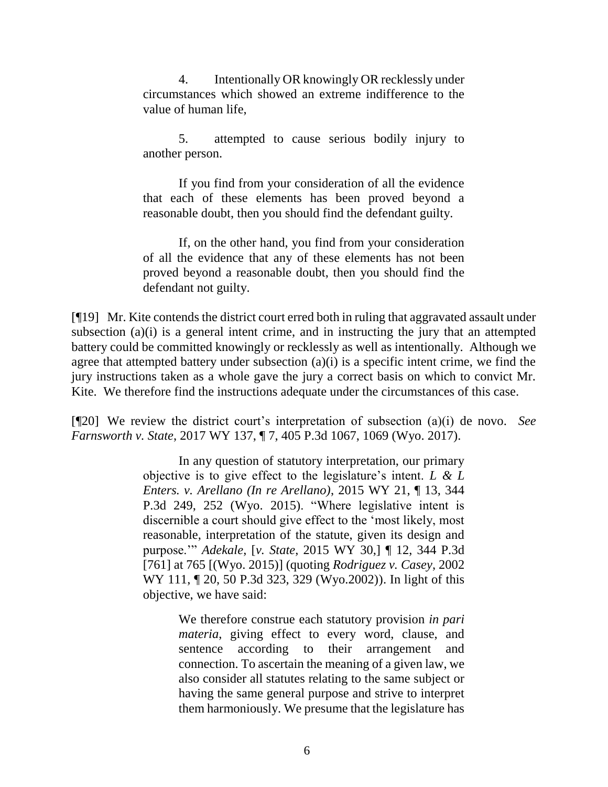4. Intentionally OR knowingly OR recklessly under circumstances which showed an extreme indifference to the value of human life,

5. attempted to cause serious bodily injury to another person.

If you find from your consideration of all the evidence that each of these elements has been proved beyond a reasonable doubt, then you should find the defendant guilty.

If, on the other hand, you find from your consideration of all the evidence that any of these elements has not been proved beyond a reasonable doubt, then you should find the defendant not guilty.

[¶19] Mr. Kite contends the district court erred both in ruling that aggravated assault under subsection (a)(i) is a general intent crime, and in instructing the jury that an attempted battery could be committed knowingly or recklessly as well as intentionally. Although we agree that attempted battery under subsection  $(a)(i)$  is a specific intent crime, we find the jury instructions taken as a whole gave the jury a correct basis on which to convict Mr. Kite. We therefore find the instructions adequate under the circumstances of this case.

[¶20] We review the district court's interpretation of subsection (a)(i) de novo. *See Farnsworth v. State*, 2017 WY 137, ¶ 7, 405 P.3d 1067, 1069 (Wyo. 2017).

> In any question of statutory interpretation, our primary objective is to give effect to the legislature's intent. *[L & L](http://www.westlaw.com/Link/Document/FullText?findType=Y&serNum=2036062582&pubNum=0004645&originatingDoc=Ia58fbb60b79111e6972aa83e6c16e5f7&refType=RP&fi=co_pp_sp_4645_252&originationContext=document&vr=3.0&rs=cblt1.0&transitionType=DocumentItem&contextData=(sc.History*oc.Search)#co_pp_sp_4645_252)  [Enters. v. Arellano \(In re Arellano\)](http://www.westlaw.com/Link/Document/FullText?findType=Y&serNum=2036062582&pubNum=0004645&originatingDoc=Ia58fbb60b79111e6972aa83e6c16e5f7&refType=RP&fi=co_pp_sp_4645_252&originationContext=document&vr=3.0&rs=cblt1.0&transitionType=DocumentItem&contextData=(sc.History*oc.Search)#co_pp_sp_4645_252)*, 2015 WY 21, ¶ 13, 344 [P.3d 249, 252](http://www.westlaw.com/Link/Document/FullText?findType=Y&serNum=2036062582&pubNum=0004645&originatingDoc=Ia58fbb60b79111e6972aa83e6c16e5f7&refType=RP&fi=co_pp_sp_4645_252&originationContext=document&vr=3.0&rs=cblt1.0&transitionType=DocumentItem&contextData=(sc.History*oc.Search)#co_pp_sp_4645_252) (Wyo. 2015). "Where legislative intent is discernible a court should give effect to the 'most likely, most reasonable, interpretation of the statute, given its design and purpose.'" *Adekale*, [*v. State*[, 2015 WY 30,\]](http://www.westlaw.com/Link/Document/FullText?findType=Y&serNum=2035504869&pubNum=0004645&originatingDoc=Ia58fbb60b79111e6972aa83e6c16e5f7&refType=RP&fi=co_pp_sp_4645_765&originationContext=document&vr=3.0&rs=cblt1.0&transitionType=DocumentItem&contextData=(sc.History*oc.Search)#co_pp_sp_4645_765) ¶ 12, 344 P.3d [\[761\] at 765](http://www.westlaw.com/Link/Document/FullText?findType=Y&serNum=2035504869&pubNum=0004645&originatingDoc=Ia58fbb60b79111e6972aa83e6c16e5f7&refType=RP&fi=co_pp_sp_4645_765&originationContext=document&vr=3.0&rs=cblt1.0&transitionType=DocumentItem&contextData=(sc.History*oc.Search)#co_pp_sp_4645_765) [(Wyo. 2015)] (quoting *[Rodriguez v. Casey](http://www.westlaw.com/Link/Document/FullText?findType=Y&serNum=2002444621&pubNum=0004645&originatingDoc=Ia58fbb60b79111e6972aa83e6c16e5f7&refType=RP&fi=co_pp_sp_4645_329&originationContext=document&vr=3.0&rs=cblt1.0&transitionType=DocumentItem&contextData=(sc.History*oc.Search)#co_pp_sp_4645_329)*, 2002 [WY 111, ¶ 20, 50 P.3d 323, 329 \(Wyo.2002\)\)](http://www.westlaw.com/Link/Document/FullText?findType=Y&serNum=2002444621&pubNum=0004645&originatingDoc=Ia58fbb60b79111e6972aa83e6c16e5f7&refType=RP&fi=co_pp_sp_4645_329&originationContext=document&vr=3.0&rs=cblt1.0&transitionType=DocumentItem&contextData=(sc.History*oc.Search)#co_pp_sp_4645_329). In light of this objective, we have said:

> > We therefore construe each statutory provision *in pari materia*, giving effect to every word, clause, and sentence according to their arrangement and connection. To ascertain the meaning of a given law, we also consider all statutes relating to the same subject or having the same general purpose and strive to interpret them harmoniously. We presume that the legislature has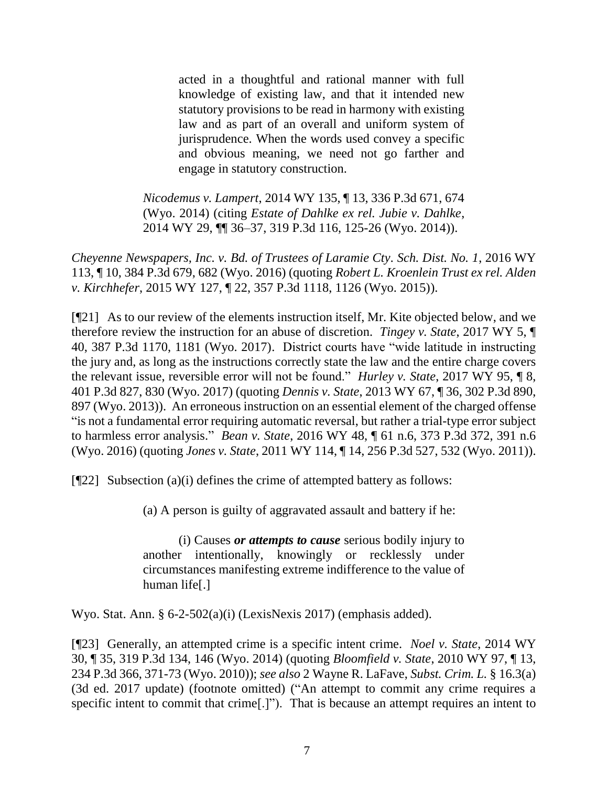acted in a thoughtful and rational manner with full knowledge of existing law, and that it intended new statutory provisions to be read in harmony with existing law and as part of an overall and uniform system of jurisprudence. When the words used convey a specific and obvious meaning, we need not go farther and engage in statutory construction.

*Nicodemus v. Lampert*[, 2014 WY 135, ¶ 13, 336 P.3d 671, 674](http://www.westlaw.com/Link/Document/FullText?findType=Y&serNum=2034700384&pubNum=0004645&originatingDoc=Ia58fbb60b79111e6972aa83e6c16e5f7&refType=RP&fi=co_pp_sp_4645_674&originationContext=document&vr=3.0&rs=cblt1.0&transitionType=DocumentItem&contextData=(sc.History*oc.Search)#co_pp_sp_4645_674)  [\(Wyo.](http://www.westlaw.com/Link/Document/FullText?findType=Y&serNum=2034700384&pubNum=0004645&originatingDoc=Ia58fbb60b79111e6972aa83e6c16e5f7&refType=RP&fi=co_pp_sp_4645_674&originationContext=document&vr=3.0&rs=cblt1.0&transitionType=DocumentItem&contextData=(sc.History*oc.Search)#co_pp_sp_4645_674) 2014) (citing *[Estate of Dahlke ex rel. Jubie v. Dahlke](http://www.westlaw.com/Link/Document/FullText?findType=Y&serNum=2032784720&pubNum=0004645&originatingDoc=Ia58fbb60b79111e6972aa83e6c16e5f7&refType=RP&fi=co_pp_sp_4645_125&originationContext=document&vr=3.0&rs=cblt1.0&transitionType=DocumentItem&contextData=(sc.History*oc.Search)#co_pp_sp_4645_125)*, [2014 WY 29, ¶¶ 36–37, 319 P.3d 116, 125-26 \(Wyo.](http://www.westlaw.com/Link/Document/FullText?findType=Y&serNum=2032784720&pubNum=0004645&originatingDoc=Ia58fbb60b79111e6972aa83e6c16e5f7&refType=RP&fi=co_pp_sp_4645_125&originationContext=document&vr=3.0&rs=cblt1.0&transitionType=DocumentItem&contextData=(sc.History*oc.Search)#co_pp_sp_4645_125) 2014)).

*Cheyenne Newspapers, Inc. v. Bd. of Trustees of Laramie Cty. Sch. Dist. No. 1*, 2016 WY 113, ¶ 10, 384 P.3d 679, 682 (Wyo. 2016) (quoting *[Robert L. Kroenlein Trust ex rel. Alden](http://www.westlaw.com/Link/Document/FullText?findType=Y&serNum=2037178883&pubNum=0004645&originatingDoc=Ia58fbb60b79111e6972aa83e6c16e5f7&refType=RP&fi=co_pp_sp_4645_1126&originationContext=document&vr=3.0&rs=cblt1.0&transitionType=DocumentItem&contextData=(sc.History*oc.Search)#co_pp_sp_4645_1126)  v. Kirchhefer*, [2015 WY 127, ¶ 22, 357 P.3d 1118, 1126 \(Wyo. 2015\)\)](http://www.westlaw.com/Link/Document/FullText?findType=Y&serNum=2037178883&pubNum=0004645&originatingDoc=Ia58fbb60b79111e6972aa83e6c16e5f7&refType=RP&fi=co_pp_sp_4645_1126&originationContext=document&vr=3.0&rs=cblt1.0&transitionType=DocumentItem&contextData=(sc.History*oc.Search)#co_pp_sp_4645_1126).

[¶21] As to our review of the elements instruction itself, Mr. Kite objected below, and we therefore review the instruction for an abuse of discretion. *Tingey v. State*[, 2017 WY 5, ¶](http://www.westlaw.com/Link/Document/FullText?findType=Y&serNum=2040812873&pubNum=0004645&originatingDoc=I3d161de0886a11e7a9cdf8f74902bf96&refType=RP&fi=co_pp_sp_4645_1181&originationContext=document&vr=3.0&rs=cblt1.0&transitionType=DocumentItem&contextData=(sc.Keycite)#co_pp_sp_4645_1181)  [40, 387 P.3d 1170, 1181 \(Wyo. 2017\).](http://www.westlaw.com/Link/Document/FullText?findType=Y&serNum=2040812873&pubNum=0004645&originatingDoc=I3d161de0886a11e7a9cdf8f74902bf96&refType=RP&fi=co_pp_sp_4645_1181&originationContext=document&vr=3.0&rs=cblt1.0&transitionType=DocumentItem&contextData=(sc.Keycite)#co_pp_sp_4645_1181) District courts have "wide latitude in instructing the jury and, as long as the instructions correctly state the law and the entire charge covers the relevant issue, reversible error will not be found." *Hurley v. State*, 2017 WY 95, ¶ 8, 401 P.3d 827, 830 (Wyo. 2017) (quoting *Dennis v. State*[, 2013 WY 67, ¶ 36, 302 P.3d 890,](http://www.westlaw.com/Link/Document/FullText?findType=Y&serNum=2030644913&pubNum=0004645&originatingDoc=I3d161de0886a11e7a9cdf8f74902bf96&refType=RP&fi=co_pp_sp_4645_897&originationContext=document&vr=3.0&rs=cblt1.0&transitionType=DocumentItem&contextData=(sc.Keycite)#co_pp_sp_4645_897)  [897 \(Wyo. 2013\)\)](http://www.westlaw.com/Link/Document/FullText?findType=Y&serNum=2030644913&pubNum=0004645&originatingDoc=I3d161de0886a11e7a9cdf8f74902bf96&refType=RP&fi=co_pp_sp_4645_897&originationContext=document&vr=3.0&rs=cblt1.0&transitionType=DocumentItem&contextData=(sc.Keycite)#co_pp_sp_4645_897). An erroneous instruction on an essential element of the charged offense "is not a fundamental error requiring automatic reversal, but rather a trial-type error subject to harmless error analysis." *Bean v. State*, 2016 WY 48, ¶ 61 n.6, 373 P.3d 372, 391 n.6 (Wyo. 2016) (quoting *Jones v. State*[, 2011 WY 114, ¶ 14, 256 P.3d 527, 532 \(Wyo.](http://www.westlaw.com/Link/Document/FullText?findType=Y&serNum=2025772194&pubNum=0004645&originatingDoc=Ibdc94e65181311e6b86bd602cb8781fa&refType=RP&fi=co_pp_sp_4645_532&originationContext=document&vr=3.0&rs=cblt1.0&transitionType=DocumentItem&contextData=(sc.Search)#co_pp_sp_4645_532) 2011)).

 $[$ [[22] Subsection (a)(i) defines the crime of attempted battery as follows:

(a) A person is guilty of aggravated assault and battery if he:

(i) Causes *or attempts to cause* serious bodily injury to another intentionally, knowingly or recklessly under circumstances manifesting extreme indifference to the value of human life[.]

Wyo. Stat. Ann. § 6-2-502(a)(i) (LexisNexis 2017) (emphasis added).

[¶23] Generally, an attempted crime is a specific intent crime. *Noel v. State*, 2014 WY 30, ¶ 35, 319 P.3d 134, 146 (Wyo. 2014) (quoting *Bloomfield v. State*[, 2010 WY 97, ¶ 13,](http://www.westlaw.com/Link/Document/FullText?findType=Y&serNum=2022502935&pubNum=0004645&originatingDoc=Ic4dc0829a0a111e381b8b0e9e015e69e&refType=RP&fi=co_pp_sp_4645_371&originationContext=document&vr=3.0&rs=cblt1.0&transitionType=DocumentItem&contextData=(sc.Keycite)#co_pp_sp_4645_371)  [234 P.3d 366, 371-73 \(Wyo.](http://www.westlaw.com/Link/Document/FullText?findType=Y&serNum=2022502935&pubNum=0004645&originatingDoc=Ic4dc0829a0a111e381b8b0e9e015e69e&refType=RP&fi=co_pp_sp_4645_371&originationContext=document&vr=3.0&rs=cblt1.0&transitionType=DocumentItem&contextData=(sc.Keycite)#co_pp_sp_4645_371) 2010)); *see also* 2 Wayne R. LaFave, *Subst. Crim. L.* § 16.3(a) (3d ed. 2017 update) (footnote omitted) ("An attempt to commit any crime requires a specific intent to commit that crime[.]"). That is because an attempt requires an intent to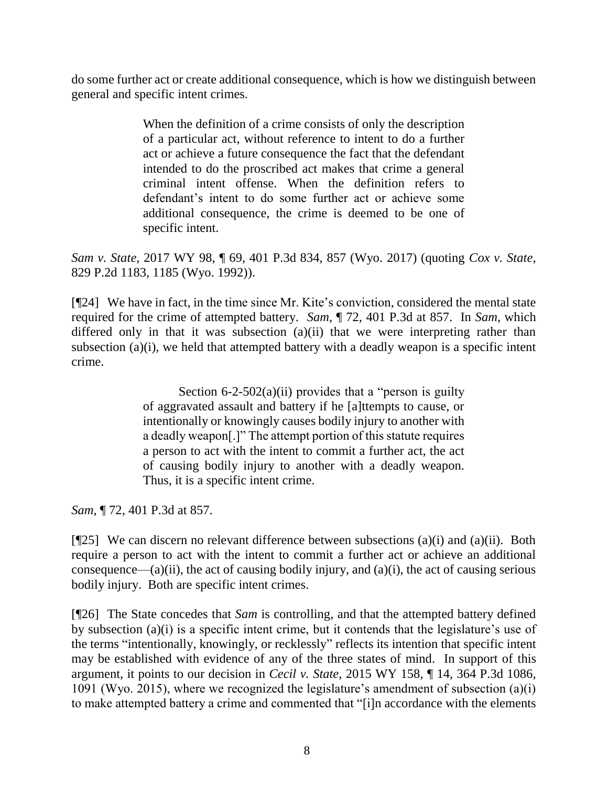do some further act or create additional consequence, which is how we distinguish between general and specific intent crimes.

> When the definition of a crime consists of only the description of a particular act, without reference to intent to do a further act or achieve a future consequence the fact that the defendant intended to do the proscribed act makes that crime a general criminal intent offense. When the definition refers to defendant's intent to do some further act or achieve some additional consequence, the crime is deemed to be one of specific intent.

*Sam v. State*, 2017 WY 98, ¶ 69, 401 P.3d 834, 857 (Wyo. 2017) (quoting *[Cox v. State](http://www.westlaw.com/Link/Document/FullText?findType=Y&serNum=1992080221&pubNum=0000661&originatingDoc=I61c234d0893c11e79e029b6011d84ab0&refType=RP&fi=co_pp_sp_661_1185&originationContext=document&vr=3.0&rs=cblt1.0&transitionType=DocumentItem&contextData=(sc.UserEnteredCitation)#co_pp_sp_661_1185)*, [829 P.2d 1183, 1185](http://www.westlaw.com/Link/Document/FullText?findType=Y&serNum=1992080221&pubNum=0000661&originatingDoc=I61c234d0893c11e79e029b6011d84ab0&refType=RP&fi=co_pp_sp_661_1185&originationContext=document&vr=3.0&rs=cblt1.0&transitionType=DocumentItem&contextData=(sc.UserEnteredCitation)#co_pp_sp_661_1185) (Wyo. 1992)).

[¶24] We have in fact, in the time since Mr. Kite's conviction, considered the mental state required for the crime of attempted battery. *Sam*, ¶ 72, 401 P.3d at 857. In *Sam*, which differed only in that it was subsection (a)(ii) that we were interpreting rather than subsection (a)(i), we held that attempted battery with a deadly weapon is a specific intent crime.

> Section  $6-2-502(a)(ii)$  provides that a "person is guilty" of aggravated assault and battery if he [a]ttempts to cause, or intentionally or knowingly causes bodily injury to another with a deadly weapon[.]" The attempt portion of this statute requires a person to act with the intent to commit a further act, the act of causing bodily injury to another with a deadly weapon. Thus, it is a specific intent crime.

*Sam*, ¶ 72, 401 P.3d at 857.

[ $[$ 25] We can discern no relevant difference between subsections (a)(i) and (a)(ii). Both require a person to act with the intent to commit a further act or achieve an additional consequence—(a)(ii), the act of causing bodily injury, and (a)(i), the act of causing serious bodily injury. Both are specific intent crimes.

[¶26] The State concedes that *Sam* is controlling, and that the attempted battery defined by subsection (a)(i) is a specific intent crime, but it contends that the legislature's use of the terms "intentionally, knowingly, or recklessly" reflects its intention that specific intent may be established with evidence of any of the three states of mind. In support of this argument, it points to our decision in *Cecil v. State*, 2015 WY 158, ¶ 14, 364 P.3d 1086, 1091 (Wyo. 2015), where we recognized the legislature's amendment of subsection (a)(i) to make attempted battery a crime and commented that "[i]n accordance with the elements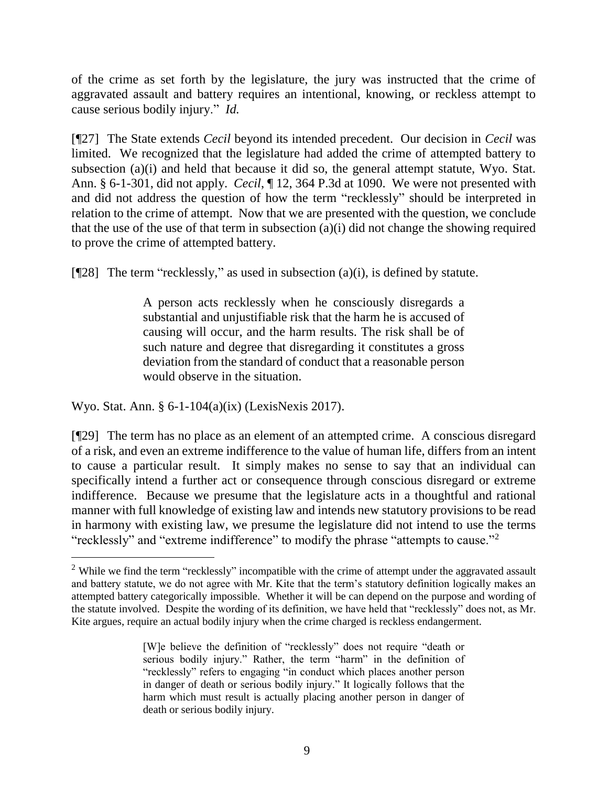of the crime as set forth by the legislature, the jury was instructed that the crime of aggravated assault and battery requires an intentional, knowing, or reckless attempt to cause serious bodily injury." *Id.*

[¶27] The State extends *Cecil* beyond its intended precedent. Our decision in *Cecil* was limited. We recognized that the legislature had added the crime of attempted battery to subsection (a)(i) and held that because it did so, the general attempt statute, Wyo. Stat. Ann. § 6-1-301, did not apply. *Cecil*, ¶ 12, 364 P.3d at 1090. We were not presented with and did not address the question of how the term "recklessly" should be interpreted in relation to the crime of attempt. Now that we are presented with the question, we conclude that the use of the use of that term in subsection (a)(i) did not change the showing required to prove the crime of attempted battery.

[ $[$ 28] The term "recklessly," as used in subsection (a)(i), is defined by statute.

A person acts recklessly when he consciously disregards a substantial and unjustifiable risk that the harm he is accused of causing will occur, and the harm results. The risk shall be of such nature and degree that disregarding it constitutes a gross deviation from the standard of conduct that a reasonable person would observe in the situation.

Wyo. Stat. Ann. § 6-1-104(a)(ix) (LexisNexis 2017).

 $\overline{a}$ 

[¶29] The term has no place as an element of an attempted crime. A conscious disregard of a risk, and even an extreme indifference to the value of human life, differs from an intent to cause a particular result. It simply makes no sense to say that an individual can specifically intend a further act or consequence through conscious disregard or extreme indifference. Because we presume that the legislature acts in a thoughtful and rational manner with full knowledge of existing law and intends new statutory provisions to be read in harmony with existing law, we presume the legislature did not intend to use the terms "recklessly" and "extreme indifference" to modify the phrase "attempts to cause."<sup>2</sup>

<sup>&</sup>lt;sup>2</sup> While we find the term "recklessly" incompatible with the crime of attempt under the aggravated assault and battery statute, we do not agree with Mr. Kite that the term's statutory definition logically makes an attempted battery categorically impossible. Whether it will be can depend on the purpose and wording of the statute involved. Despite the wording of its definition, we have held that "recklessly" does not, as Mr. Kite argues, require an actual bodily injury when the crime charged is reckless endangerment.

<sup>[</sup>W]e believe the definition of "recklessly" does not require "death or serious bodily injury." Rather, the term "harm" in the definition of "recklessly" refers to engaging "in conduct which places another person in danger of death or serious bodily injury." It logically follows that the harm which must result is actually placing another person in danger of death or serious bodily injury.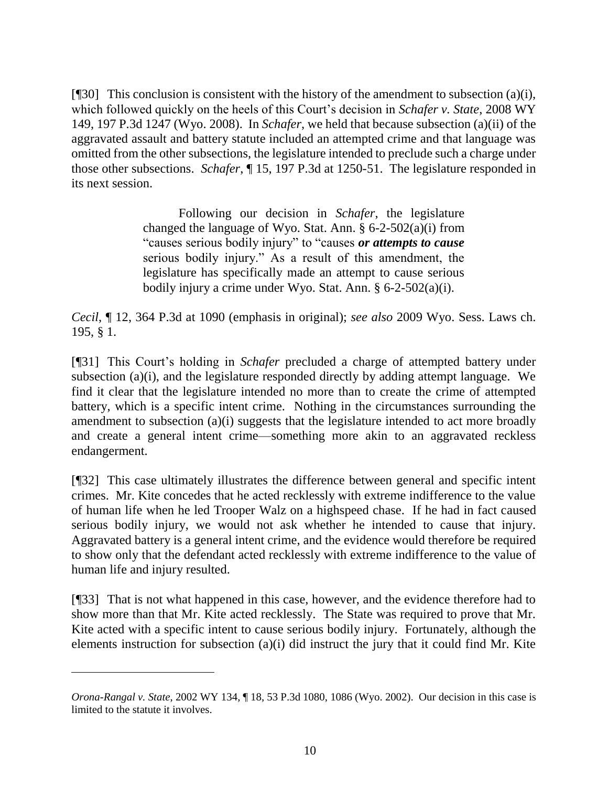[ $[$ [30] This conclusion is consistent with the history of the amendment to subsection (a)(i), which followed quickly on the heels of this Court's decision in *[Schafer v. State](http://www.westlaw.com/Link/Document/FullText?findType=Y&serNum=2017670295&pubNum=0004645&originatingDoc=Icc197dc9ae2a11e5a807ad48145ed9f1&refType=RP&originationContext=document&vr=3.0&rs=cblt1.0&transitionType=DocumentItem&contextData=(sc.DocLink))*, 2008 WY [149, 197 P.3d 1247 \(Wyo.](http://www.westlaw.com/Link/Document/FullText?findType=Y&serNum=2017670295&pubNum=0004645&originatingDoc=Icc197dc9ae2a11e5a807ad48145ed9f1&refType=RP&originationContext=document&vr=3.0&rs=cblt1.0&transitionType=DocumentItem&contextData=(sc.DocLink)) 2008). In *Schafer*, we held that because subsection (a)(ii) of the aggravated assault and battery statute included an attempted crime and that language was omitted from the other subsections, the legislature intended to preclude such a charge under those other subsections. *Schafer*, ¶ 15, 197 P.3d at 1250-51. The legislature responded in its next session.

> Following our decision in *Schafer*, the legislature changed the language of [Wyo. Stat. Ann. § 6-2-502\(a\)\(i\)](http://www.westlaw.com/Link/Document/FullText?findType=L&pubNum=1000377&cite=WYSTS6-2-502&originatingDoc=Icc197dc9ae2a11e5a807ad48145ed9f1&refType=SP&originationContext=document&vr=3.0&rs=cblt1.0&transitionType=DocumentItem&contextData=(sc.DocLink)#co_pp_567a0000c2492) from "causes serious bodily injury" to "causes *or attempts to cause* serious bodily injury." As a result of this amendment, the legislature has specifically made an attempt to cause serious bodily injury a crime under [Wyo. Stat. Ann. § 6-2-502\(a\)\(i\).](http://www.westlaw.com/Link/Document/FullText?findType=L&pubNum=1000377&cite=WYSTS6-2-502&originatingDoc=Icc197dc9ae2a11e5a807ad48145ed9f1&refType=SP&originationContext=document&vr=3.0&rs=cblt1.0&transitionType=DocumentItem&contextData=(sc.DocLink)#co_pp_567a0000c2492)

*Cecil*, ¶ 12, 364 P.3d at 1090 (emphasis in original); *see also* 2009 Wyo. Sess. Laws ch. 195, § 1.

[¶31] This Court's holding in *Schafer* precluded a charge of attempted battery under subsection (a)(i), and the legislature responded directly by adding attempt language. We find it clear that the legislature intended no more than to create the crime of attempted battery, which is a specific intent crime. Nothing in the circumstances surrounding the amendment to subsection (a)(i) suggests that the legislature intended to act more broadly and create a general intent crime—something more akin to an aggravated reckless endangerment.

[¶32] This case ultimately illustrates the difference between general and specific intent crimes. Mr. Kite concedes that he acted recklessly with extreme indifference to the value of human life when he led Trooper Walz on a highspeed chase. If he had in fact caused serious bodily injury, we would not ask whether he intended to cause that injury. Aggravated battery is a general intent crime, and the evidence would therefore be required to show only that the defendant acted recklessly with extreme indifference to the value of human life and injury resulted.

[¶33] That is not what happened in this case, however, and the evidence therefore had to show more than that Mr. Kite acted recklessly. The State was required to prove that Mr. Kite acted with a specific intent to cause serious bodily injury. Fortunately, although the elements instruction for subsection (a)(i) did instruct the jury that it could find Mr. Kite

*Orona-Rangal v. State*, 2002 WY 134, ¶ 18, 53 P.3d 1080, 1086 (Wyo. 2002). Our decision in this case is limited to the statute it involves.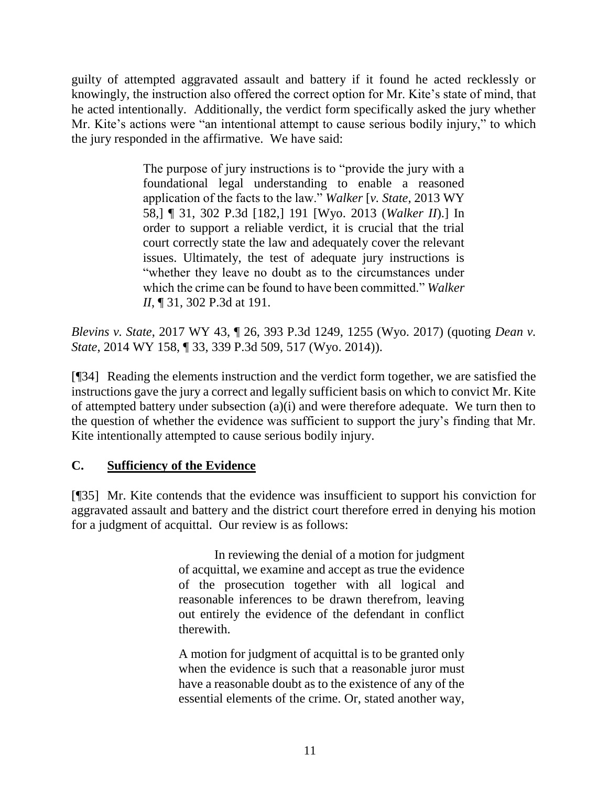guilty of attempted aggravated assault and battery if it found he acted recklessly or knowingly, the instruction also offered the correct option for Mr. Kite's state of mind, that he acted intentionally. Additionally, the verdict form specifically asked the jury whether Mr. Kite's actions were "an intentional attempt to cause serious bodily injury," to which the jury responded in the affirmative. We have said:

> The purpose of jury instructions is to "provide the jury with a foundational legal understanding to enable a reasoned application of the facts to the law." *Walker* [*v. State*[, 2013 WY](http://www.westlaw.com/Link/Document/FullText?findType=Y&serNum=2030509284&pubNum=0004645&originatingDoc=I39f3b8202bb811e78e18865f4d27462d&refType=RP&fi=co_pp_sp_4645_191&originationContext=document&vr=3.0&rs=cblt1.0&transitionType=DocumentItem&contextData=(sc.UserEnteredCitation)#co_pp_sp_4645_191)  [58,\] ¶ 31, 302 P.3d \[182,\] 191 \[Wyo. 2013 \(](http://www.westlaw.com/Link/Document/FullText?findType=Y&serNum=2030509284&pubNum=0004645&originatingDoc=I39f3b8202bb811e78e18865f4d27462d&refType=RP&fi=co_pp_sp_4645_191&originationContext=document&vr=3.0&rs=cblt1.0&transitionType=DocumentItem&contextData=(sc.UserEnteredCitation)#co_pp_sp_4645_191)*Walker II*).] In order to support a reliable verdict, it is crucial that the trial court correctly state the law and adequately cover the relevant issues. Ultimately, the test of adequate jury instructions is "whether they leave no doubt as to the circumstances under which the crime can be found to have been committed." *[Walker](http://www.westlaw.com/Link/Document/FullText?findType=Y&serNum=2030509284&pubNum=0004645&originatingDoc=I39f3b8202bb811e78e18865f4d27462d&refType=RP&fi=co_pp_sp_4645_191&originationContext=document&vr=3.0&rs=cblt1.0&transitionType=DocumentItem&contextData=(sc.UserEnteredCitation)#co_pp_sp_4645_191)  II*[, ¶ 31, 302 P.3d at 191.](http://www.westlaw.com/Link/Document/FullText?findType=Y&serNum=2030509284&pubNum=0004645&originatingDoc=I39f3b8202bb811e78e18865f4d27462d&refType=RP&fi=co_pp_sp_4645_191&originationContext=document&vr=3.0&rs=cblt1.0&transitionType=DocumentItem&contextData=(sc.UserEnteredCitation)#co_pp_sp_4645_191)

*Blevins v. State*, 2017 WY 43, ¶ 26, 393 P.3d 1249, 1255 (Wyo. 2017) (quoting *[Dean v.](http://www.westlaw.com/Link/Document/FullText?findType=Y&serNum=2034956933&pubNum=0004645&originatingDoc=I39f3b8202bb811e78e18865f4d27462d&refType=RP&fi=co_pp_sp_4645_517&originationContext=document&vr=3.0&rs=cblt1.0&transitionType=DocumentItem&contextData=(sc.UserEnteredCitation)#co_pp_sp_4645_517)  State*[, 2014 WY 158, ¶ 33, 339 P.3d 509, 517 \(Wyo. 2014\)\)](http://www.westlaw.com/Link/Document/FullText?findType=Y&serNum=2034956933&pubNum=0004645&originatingDoc=I39f3b8202bb811e78e18865f4d27462d&refType=RP&fi=co_pp_sp_4645_517&originationContext=document&vr=3.0&rs=cblt1.0&transitionType=DocumentItem&contextData=(sc.UserEnteredCitation)#co_pp_sp_4645_517).

[¶34] Reading the elements instruction and the verdict form together, we are satisfied the instructions gave the jury a correct and legally sufficient basis on which to convict Mr. Kite of attempted battery under subsection (a)(i) and were therefore adequate. We turn then to the question of whether the evidence was sufficient to support the jury's finding that Mr. Kite intentionally attempted to cause serious bodily injury.

# **C. Sufficiency of the Evidence**

[¶35] Mr. Kite contends that the evidence was insufficient to support his conviction for aggravated assault and battery and the district court therefore erred in denying his motion for a judgment of acquittal. Our review is as follows:

> In reviewing the denial of a motion for judgment of acquittal, we examine and accept as true the evidence of the prosecution together with all logical and reasonable inferences to be drawn therefrom, leaving out entirely the evidence of the defendant in conflict therewith.

> A motion for judgment of acquittal is to be granted only when the evidence is such that a reasonable juror must have a reasonable doubt as to the existence of any of the essential elements of the crime. Or, stated another way,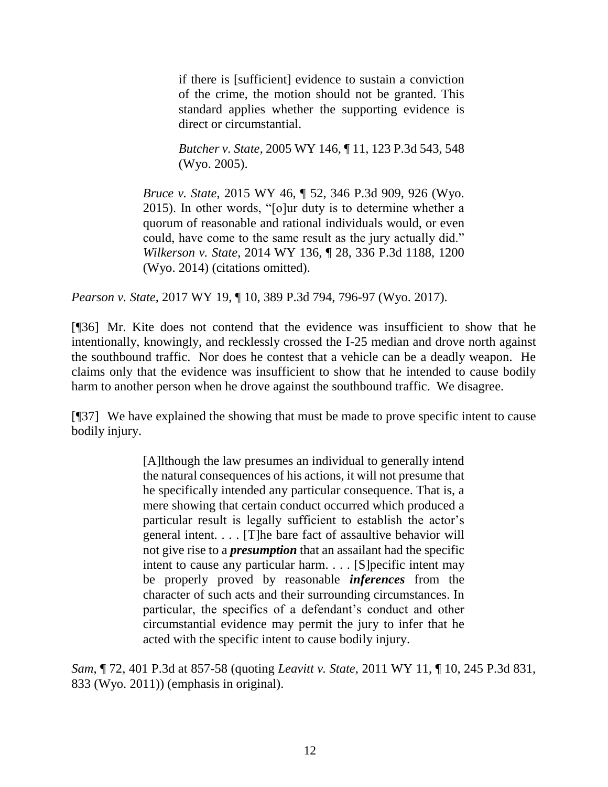if there is [sufficient] evidence to sustain a conviction of the crime, the motion should not be granted. This standard applies whether the supporting evidence is direct or circumstantial.

*Butcher v. State*[, 2005 WY 146, ¶ 11, 123 P.3d 543, 548](http://www.westlaw.com/Link/Document/FullText?findType=Y&serNum=2007723731&pubNum=0004645&originatingDoc=I3b94f310fe6811e69f02f3f03f61dd4d&refType=RP&fi=co_pp_sp_4645_548&originationContext=document&vr=3.0&rs=cblt1.0&transitionType=DocumentItem&contextData=(sc.Search)#co_pp_sp_4645_548)  [\(Wyo. 2005\).](http://www.westlaw.com/Link/Document/FullText?findType=Y&serNum=2007723731&pubNum=0004645&originatingDoc=I3b94f310fe6811e69f02f3f03f61dd4d&refType=RP&fi=co_pp_sp_4645_548&originationContext=document&vr=3.0&rs=cblt1.0&transitionType=DocumentItem&contextData=(sc.Search)#co_pp_sp_4645_548)

*Bruce v. State*[, 2015 WY 46, ¶ 52, 346 P.3d 909, 926 \(Wyo.](http://www.westlaw.com/Link/Document/FullText?findType=Y&serNum=2035689949&pubNum=0004645&originatingDoc=I3b94f310fe6811e69f02f3f03f61dd4d&refType=RP&fi=co_pp_sp_4645_926&originationContext=document&vr=3.0&rs=cblt1.0&transitionType=DocumentItem&contextData=(sc.Search)#co_pp_sp_4645_926)  [2015\).](http://www.westlaw.com/Link/Document/FullText?findType=Y&serNum=2035689949&pubNum=0004645&originatingDoc=I3b94f310fe6811e69f02f3f03f61dd4d&refType=RP&fi=co_pp_sp_4645_926&originationContext=document&vr=3.0&rs=cblt1.0&transitionType=DocumentItem&contextData=(sc.Search)#co_pp_sp_4645_926) In other words, "[o]ur duty is to determine whether a quorum of reasonable and rational individuals would, or even could, have come to the same result as the jury actually did." *Wilkerson v. State*[, 2014 WY 136, ¶ 28, 336 P.3d 1188, 1200](http://www.westlaw.com/Link/Document/FullText?findType=Y&serNum=2034706333&pubNum=0004645&originatingDoc=I3b94f310fe6811e69f02f3f03f61dd4d&refType=RP&fi=co_pp_sp_4645_1200&originationContext=document&vr=3.0&rs=cblt1.0&transitionType=DocumentItem&contextData=(sc.Search)#co_pp_sp_4645_1200)  [\(Wyo. 2014\)](http://www.westlaw.com/Link/Document/FullText?findType=Y&serNum=2034706333&pubNum=0004645&originatingDoc=I3b94f310fe6811e69f02f3f03f61dd4d&refType=RP&fi=co_pp_sp_4645_1200&originationContext=document&vr=3.0&rs=cblt1.0&transitionType=DocumentItem&contextData=(sc.Search)#co_pp_sp_4645_1200) (citations omitted).

*Pearson v. State*, 2017 WY 19, ¶ 10, 389 P.3d 794, 796-97 (Wyo. 2017).

[¶36] Mr. Kite does not contend that the evidence was insufficient to show that he intentionally, knowingly, and recklessly crossed the I-25 median and drove north against the southbound traffic. Nor does he contest that a vehicle can be a deadly weapon. He claims only that the evidence was insufficient to show that he intended to cause bodily harm to another person when he drove against the southbound traffic. We disagree.

[¶37] We have explained the showing that must be made to prove specific intent to cause bodily injury.

> [A]lthough the law presumes an individual to generally intend the natural consequences of his actions, it will not presume that he specifically intended any particular consequence. That is, a mere showing that certain conduct occurred which produced a particular result is legally sufficient to establish the actor's general intent. . . . [T]he bare fact of assaultive behavior will not give rise to a *presumption* that an assailant had the specific intent to cause any particular harm. . . . [S]pecific intent may be properly proved by reasonable *inferences* from the character of such acts and their surrounding circumstances. In particular, the specifics of a defendant's conduct and other circumstantial evidence may permit the jury to infer that he acted with the specific intent to cause bodily injury.

*Sam*, ¶ 72, 401 P.3d at 857-58 (quoting *Leavitt v. State*[, 2011 WY 11, ¶ 10, 245 P.3d 831,](http://www.westlaw.com/Link/Document/FullText?findType=Y&serNum=2024445872&pubNum=0004645&originatingDoc=I61c234d0893c11e79e029b6011d84ab0&refType=RP&fi=co_pp_sp_4645_833&originationContext=document&vr=3.0&rs=cblt1.0&transitionType=DocumentItem&contextData=(sc.UserEnteredCitation)#co_pp_sp_4645_833)  [833 \(Wyo. 2011\)\)](http://www.westlaw.com/Link/Document/FullText?findType=Y&serNum=2024445872&pubNum=0004645&originatingDoc=I61c234d0893c11e79e029b6011d84ab0&refType=RP&fi=co_pp_sp_4645_833&originationContext=document&vr=3.0&rs=cblt1.0&transitionType=DocumentItem&contextData=(sc.UserEnteredCitation)#co_pp_sp_4645_833) (emphasis in original).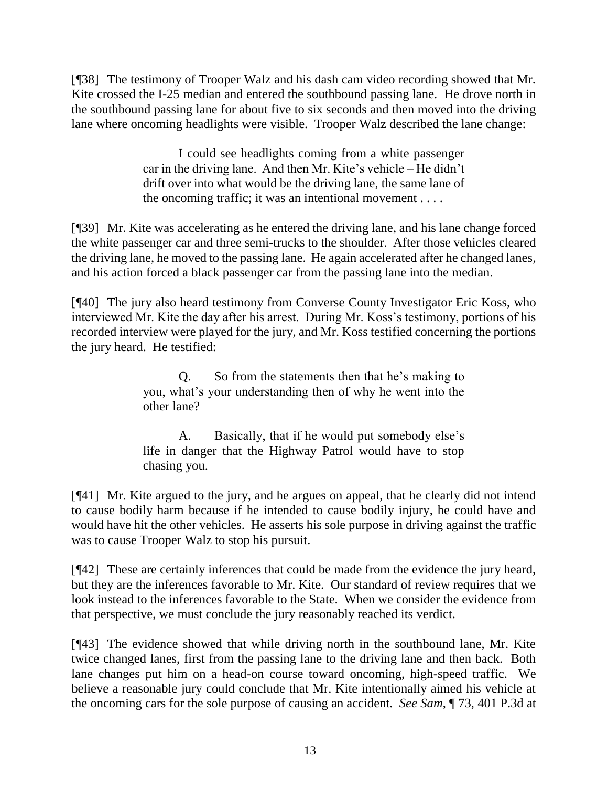[¶38] The testimony of Trooper Walz and his dash cam video recording showed that Mr. Kite crossed the I-25 median and entered the southbound passing lane. He drove north in the southbound passing lane for about five to six seconds and then moved into the driving lane where oncoming headlights were visible. Trooper Walz described the lane change:

> I could see headlights coming from a white passenger car in the driving lane. And then Mr. Kite's vehicle – He didn't drift over into what would be the driving lane, the same lane of the oncoming traffic; it was an intentional movement . . . .

[¶39] Mr. Kite was accelerating as he entered the driving lane, and his lane change forced the white passenger car and three semi-trucks to the shoulder. After those vehicles cleared the driving lane, he moved to the passing lane. He again accelerated after he changed lanes, and his action forced a black passenger car from the passing lane into the median.

[¶40] The jury also heard testimony from Converse County Investigator Eric Koss, who interviewed Mr. Kite the day after his arrest. During Mr. Koss's testimony, portions of his recorded interview were played for the jury, and Mr. Koss testified concerning the portions the jury heard. He testified:

> Q. So from the statements then that he's making to you, what's your understanding then of why he went into the other lane?

> A. Basically, that if he would put somebody else's life in danger that the Highway Patrol would have to stop chasing you.

[¶41] Mr. Kite argued to the jury, and he argues on appeal, that he clearly did not intend to cause bodily harm because if he intended to cause bodily injury, he could have and would have hit the other vehicles. He asserts his sole purpose in driving against the traffic was to cause Trooper Walz to stop his pursuit.

[¶42] These are certainly inferences that could be made from the evidence the jury heard, but they are the inferences favorable to Mr. Kite. Our standard of review requires that we look instead to the inferences favorable to the State. When we consider the evidence from that perspective, we must conclude the jury reasonably reached its verdict.

[¶43] The evidence showed that while driving north in the southbound lane, Mr. Kite twice changed lanes, first from the passing lane to the driving lane and then back. Both lane changes put him on a head-on course toward oncoming, high-speed traffic. We believe a reasonable jury could conclude that Mr. Kite intentionally aimed his vehicle at the oncoming cars for the sole purpose of causing an accident. *See Sam*, ¶ 73, 401 P.3d at